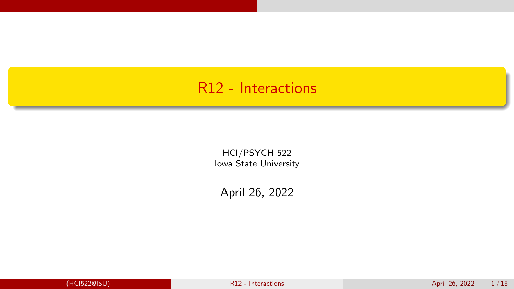## <span id="page-0-0"></span>R12 - Interactions

HCI/PSYCH 522 Iowa State University

April 26, 2022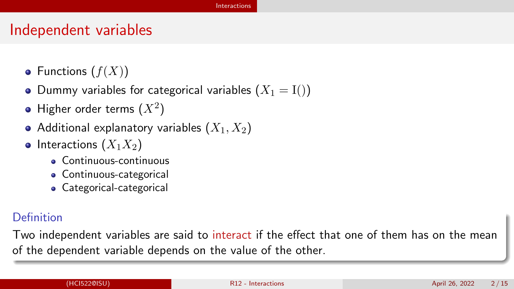#### [Interactions](#page-1-0)

#### <span id="page-1-0"></span>Independent variables

- Functions  $(f(X))$
- Dummy variables for categorical variables  $(X_1 = I))$
- Higher order terms  $(X^2)$
- Additional explanatory variables  $(X_1, X_2)$
- Interactions  $(X_1X_2)$ 
	- Continuous-continuous
	- Continuous-categorical
	- Categorical-categorical

#### Definition

Two independent variables are said to interact if the effect that one of them has on the mean of the dependent variable depends on the value of the other.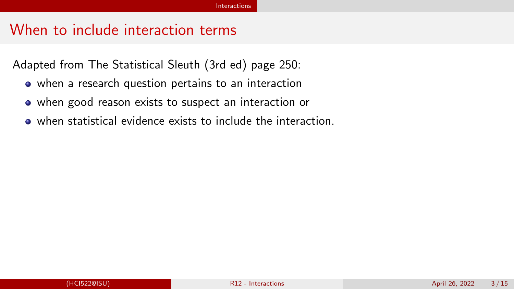#### When to include interaction terms

Adapted from The Statistical Sleuth (3rd ed) page 250:

- when a research question pertains to an interaction
- when good reason exists to suspect an interaction or
- when statistical evidence exists to include the interaction.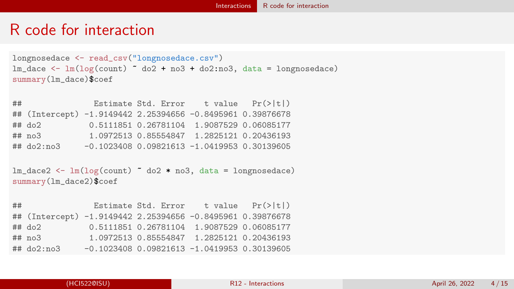#### <span id="page-3-0"></span>R code for interaction

```
longnosedace <- read_csv("longnosedace.csv")
lm\_dace \leftarrow lm(log(count) \sim do2 + no3 + do2:no3, data = longnosedace)
summary(lm_dace)$coef
```

| ## |                                                            |  | Estimate Std. Error $t$ value $Pr(>\vert t \vert)$ |  |
|----|------------------------------------------------------------|--|----------------------------------------------------|--|
|    | ## (Intercept) -1.9149442 2.25394656 -0.8495961 0.39876678 |  |                                                    |  |
|    | $##$ do2                                                   |  | 0.5111851 0.26781104 1.9087529 0.06085177          |  |
|    | ## no3                                                     |  | 1.0972513 0.85554847 1.2825121 0.20436193          |  |
|    | ## do2:no3                                                 |  | $-0.1023408$ 0.09821613 $-1.0419953$ 0.30139605    |  |

```
lm\_dace2 \leq lm(log(count) \sim do2 * no3, data = longnosedace)
summary(lm_dace2)$coef
```

| ## |                                                            | Estimate Std. Error $t$ value $Pr(>\vert t \vert)$ |  |
|----|------------------------------------------------------------|----------------------------------------------------|--|
|    | ## (Intercept) -1.9149442 2.25394656 -0.8495961 0.39876678 |                                                    |  |
|    | $##$ do2                                                   | 0.5111851 0.26781104 1.9087529 0.06085177          |  |
|    | ## no3                                                     | 1.0972513 0.85554847 1.2825121 0.20436193          |  |
|    | ## do2:no3                                                 | $-0.1023408$ 0.09821613 $-1.0419953$ 0.30139605    |  |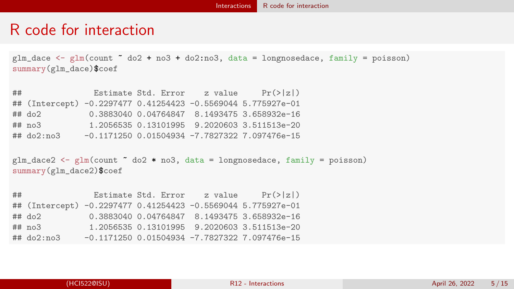#### R code for interaction

 $glm\_dace \leq glm$ (count  $\degree$  do2 + no3 + do2:no3, data = longnosedace, family = poisson) summary(glm\_dace)\$coef

## Estimate Std. Error z value Pr(>|z|) ## (Intercept) -0.2297477 0.41254423 -0.5569044 5.775927e-01 ## do2 0.3883040 0.04764847 8.1493475 3.658932e-16 ## no3 1.2056535 0.13101995 9.2020603 3.511513e-20 ## do2:no3 -0.1171250 0.01504934 -7.7827322 7.097476e-15

 $glm_dace2 \leq glm(count \sim do2 * no3, data = longnosedace, family = poisson)$ summary(glm\_dace2)\$coef

## Estimate Std. Error z value Pr(>|z|) ## (Intercept) -0.2297477 0.41254423 -0.5569044 5.775927e-01 ## do2 0.3883040 0.04764847 8.1493475 3.658932e-16 ## no3 1.2056535 0.13101995 9.2020603 3.511513e-20 ## do2:no3 -0.1171250 0.01504934 -7.7827322 7.097476e-15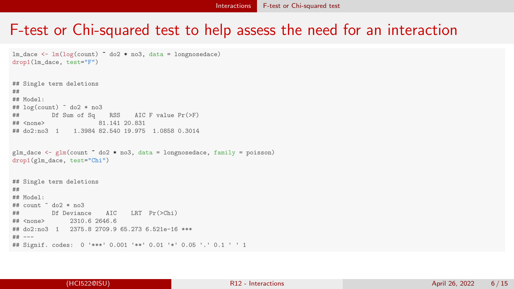### <span id="page-5-0"></span>F-test or Chi-squared test to help assess the need for an interaction

```
lm dace \leq lm(log(count) \degree do2 * no3, data = longnosedace)
drop1(lm_dace, test="F")
## Single term deletions
##
## Model:
## log(count) ~ do2 * no3
\# Df Sum of Sq RSS AIC F value Pr(>F)<br>\## <none> 81.141 20.831
## <none> 81.141 20.831
## do2:no3 1 1.3984 82.540 19.975 1.0858 0.3014
glm_dace \leq glm(count \leq do2 * no3, data = longnosedace, family = poisson)
drop1(glm_dace, test="Chi")
## Single term deletions
##
## Model:
\# count \degree do? * no3
## Df Deviance AIC LRT Pr(>Chi)
## <none> 2310.6 2646.6
## do2:no3 1 2375.8 2709.9 65.273 6.521e-16 ***
## ---
## Signif. codes: 0 '***' 0.001 '**' 0.01 '*' 0.05 '.' 0.1 ' ' 1
```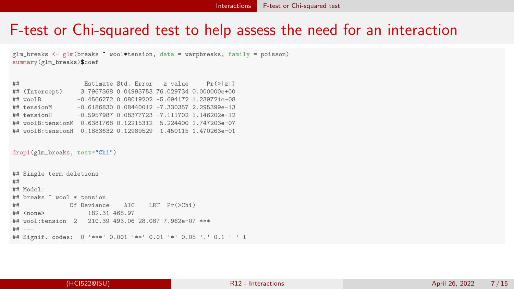#### F-test or Chi-squared test to help assess the need for an interaction

glm breaks  $\leq$  glm(breaks  $\tilde{a}$  wool\*tension, data = warpbreaks, family = poisson) summary(glm\_breaks)\$coef

| ## (Intercept) |  |                                                                                                                                                                                                                                                                                                                                                                                     |
|----------------|--|-------------------------------------------------------------------------------------------------------------------------------------------------------------------------------------------------------------------------------------------------------------------------------------------------------------------------------------------------------------------------------------|
| ## woolB       |  |                                                                                                                                                                                                                                                                                                                                                                                     |
| ## tensionM    |  |                                                                                                                                                                                                                                                                                                                                                                                     |
| ## tensionH    |  |                                                                                                                                                                                                                                                                                                                                                                                     |
|                |  |                                                                                                                                                                                                                                                                                                                                                                                     |
|                |  |                                                                                                                                                                                                                                                                                                                                                                                     |
|                |  | Estimate Std. Error z value $Pr(> z )$<br>3.7967368 0.04993753 76.029734 0.000000e+00<br>$-0.4566272$ 0.08019202 $-5.694172$ 1.239721e-08<br>$-0.6186830$ $0.08440012$ $-7.330357$ 2.295399e-13<br>$-0.5957987$ 0.08377723 $-7.111702$ 1.146202e-12<br>## woolB:tensionM 0.6381768 0.12215312 5.224400 1.747203e-07<br>## woolB:tensionH 0.1883632 0.12989529 1.450115 1.470263e-01 |

drop1(glm\_breaks, test="Chi")

```
## Single term deletions
##
## Model:
## breaks ~ wool * tension
## Df Deviance AIC LRT Pr(>Chi)
## <none> 182.31 468.97
## wool:tension 2 210.39 493.06 28.087 7.962e-07 ***
## ---
## Signif. codes: 0 '***' 0.001 '**' 0.01 '*' 0.05 '.' 0.1 ' ' 1
```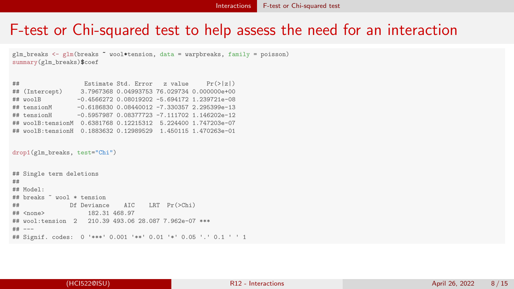#### F-test or Chi-squared test to help assess the need for an interaction

glm breaks  $\leq$  glm(breaks  $\tilde{a}$  wool\*tension, data = warpbreaks, family = poisson) summary(glm\_breaks)\$coef

| ## (Intercept) |  |                                                                                                                                                                                                                                                                                                                                                                                     |
|----------------|--|-------------------------------------------------------------------------------------------------------------------------------------------------------------------------------------------------------------------------------------------------------------------------------------------------------------------------------------------------------------------------------------|
| ## woolB       |  |                                                                                                                                                                                                                                                                                                                                                                                     |
| ## tensionM    |  |                                                                                                                                                                                                                                                                                                                                                                                     |
| ## tensionH    |  |                                                                                                                                                                                                                                                                                                                                                                                     |
|                |  |                                                                                                                                                                                                                                                                                                                                                                                     |
|                |  |                                                                                                                                                                                                                                                                                                                                                                                     |
|                |  | Estimate Std. Error z value $Pr(> z )$<br>3.7967368 0.04993753 76.029734 0.000000e+00<br>$-0.4566272$ 0.08019202 $-5.694172$ 1.239721e-08<br>$-0.6186830$ $0.08440012$ $-7.330357$ 2.295399e-13<br>$-0.5957987$ 0.08377723 $-7.111702$ 1.146202e-12<br>## woolB:tensionM 0.6381768 0.12215312 5.224400 1.747203e-07<br>## woolB:tensionH 0.1883632 0.12989529 1.450115 1.470263e-01 |

drop1(glm\_breaks, test="Chi")

```
## Single term deletions
##
## Model:
## breaks ~ wool * tension
## Df Deviance AIC LRT Pr(>Chi)
## <none> 182.31 468.97
## wool:tension 2 210.39 493.06 28.087 7.962e-07 ***
## ---
## Signif. codes: 0 '***' 0.001 '**' 0.01 '*' 0.05 '.' 0.1 ' ' 1
```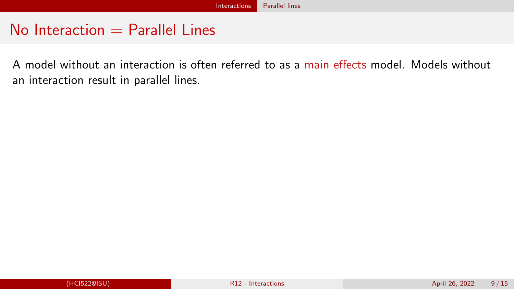#### <span id="page-8-0"></span> $No$  Interaction  $=$  Parallel Lines

A model without an interaction is often referred to as a main effects model. Models without an interaction result in parallel lines.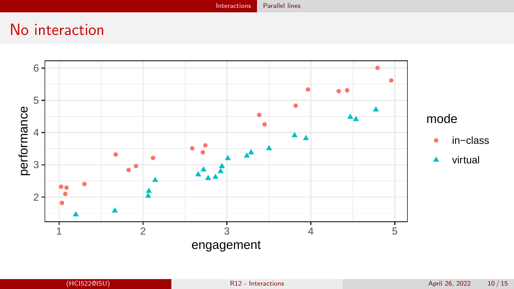[Interactions](#page-1-0) [Parallel lines](#page-8-0)

# No interaction

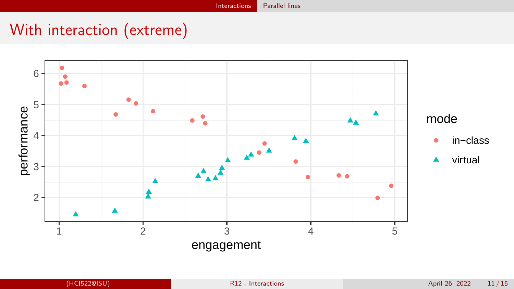# With interaction (extreme)

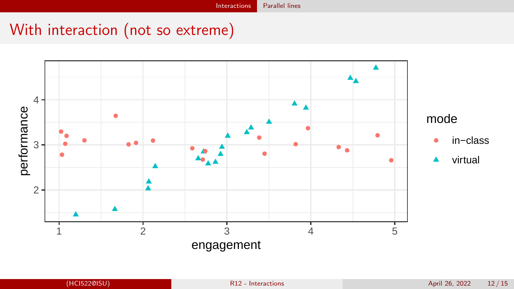# With interaction (not so extreme)

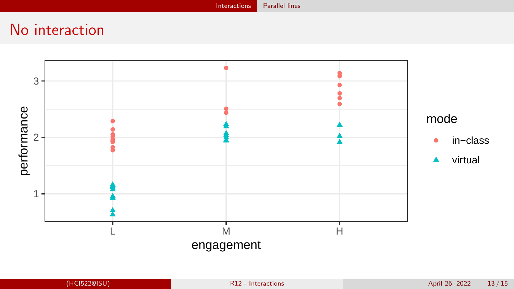# No interaction

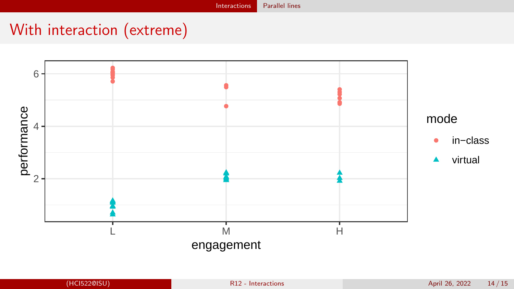# With interaction (extreme)